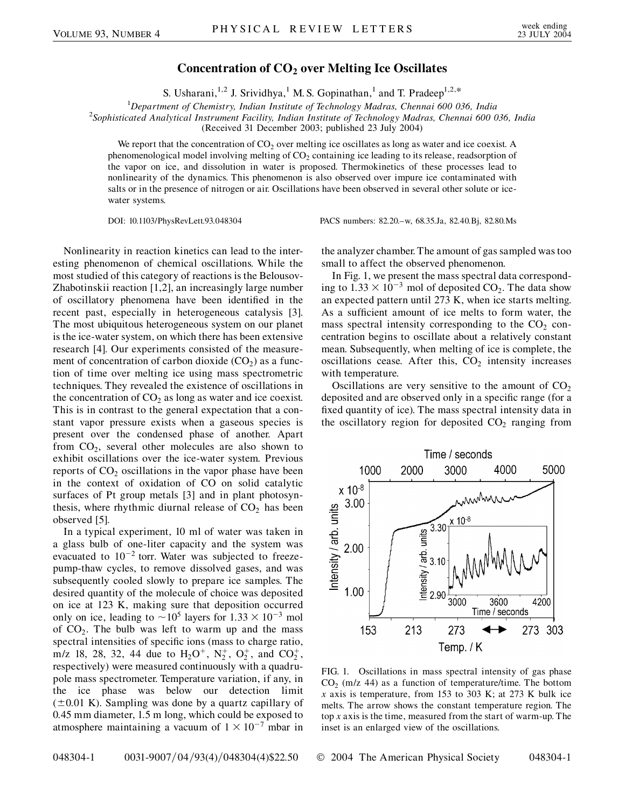## **Concentration of CO2 over Melting Ice Oscillates**

S. Usharani,<sup>1,2</sup> J. Srividhya,<sup>1</sup> M. S. Gopinathan,<sup>1</sup> and T. Pradeep<sup>1,2,\*</sup>

<sup>1</sup> Department of Chemistry, Indian Institute of Technology Madras, Chennai 600 036, India<sup>2</sup> Sophisticated Analytical Instrument Eacility Indian Institute of Technology Madras, Chennai 600 0

*Sophisticated Analytical Instrument Facility, Indian Institute of Technology Madras, Chennai 600 036, India*

(Received 31 December 2003; published 23 July 2004)

We report that the concentration of  $CO<sub>2</sub>$  over melting ice oscillates as long as water and ice coexist. A phenomenological model involving melting of  $CO<sub>2</sub>$  containing ice leading to its release, readsorption of the vapor on ice, and dissolution in water is proposed. Thermokinetics of these processes lead to nonlinearity of the dynamics. This phenomenon is also observed over impure ice contaminated with salts or in the presence of nitrogen or air. Oscillations have been observed in several other solute or icewater systems.

DOI: 10.1103/PhysRevLett.93.048304 PACS numbers: 82.20.–w, 68.35.Ja, 82.40.Bj, 82.80.Ms

Nonlinearity in reaction kinetics can lead to the interesting phenomenon of chemical oscillations. While the most studied of this category of reactions is the Belousov-Zhabotinskii reaction [1,2], an increasingly large number of oscillatory phenomena have been identified in the recent past, especially in heterogeneous catalysis [3]. The most ubiquitous heterogeneous system on our planet is the ice-water system, on which there has been extensive research [4]. Our experiments consisted of the measurement of concentration of carbon dioxide  $(CO_2)$  as a function of time over melting ice using mass spectrometric techniques. They revealed the existence of oscillations in the concentration of  $CO<sub>2</sub>$  as long as water and ice coexist. This is in contrast to the general expectation that a constant vapor pressure exists when a gaseous species is present over the condensed phase of another. Apart from  $CO<sub>2</sub>$ , several other molecules are also shown to exhibit oscillations over the ice-water system. Previous reports of  $CO<sub>2</sub>$  oscillations in the vapor phase have been in the context of oxidation of CO on solid catalytic surfaces of Pt group metals [3] and in plant photosynthesis, where rhythmic diurnal release of  $CO<sub>2</sub>$  has been observed [5].

In a typical experiment, 10 ml of water was taken in a glass bulb of one-liter capacity and the system was evacuated to  $10^{-2}$  torr. Water was subjected to freezepump-thaw cycles, to remove dissolved gases, and was subsequently cooled slowly to prepare ice samples. The desired quantity of the molecule of choice was deposited on ice at 123 K, making sure that deposition occurred only on ice, leading to  $\sim 10^5$  layers for  $1.33 \times 10^{-3}$  mol of  $CO<sub>2</sub>$ . The bulb was left to warm up and the mass spectral intensities of specific ions (mass to charge ratio, m/z 18, 28, 32, 44 due to  $H_2O^+$ ,  $N_2^+$ ,  $O_2^+$ , and  $CO_2^+$ , respectively) were measured continuously with a quadrupole mass spectrometer. Temperature variation, if any, in the ice phase was below our detection limit  $(\pm 0.01 \text{ K})$ . Sampling was done by a quartz capillary of 0.45 mm diameter, 1.5 m long, which could be exposed to atmosphere maintaining a vacuum of  $1 \times 10^{-7}$  mbar in the analyzer chamber. The amount of gas sampled was too small to affect the observed phenomenon.

In Fig. 1, we present the mass spectral data corresponding to  $1.33 \times 10^{-3}$  mol of deposited CO<sub>2</sub>. The data show an expected pattern until 273 K, when ice starts melting. As a sufficient amount of ice melts to form water, the mass spectral intensity corresponding to the  $CO<sub>2</sub>$  concentration begins to oscillate about a relatively constant mean. Subsequently, when melting of ice is complete, the oscillations cease. After this,  $CO<sub>2</sub>$  intensity increases with temperature.

Oscillations are very sensitive to the amount of  $CO<sub>2</sub>$ deposited and are observed only in a specific range (for a fixed quantity of ice). The mass spectral intensity data in the oscillatory region for deposited  $CO<sub>2</sub>$  ranging from



FIG. 1. Oscillations in mass spectral intensity of gas phase  $CO<sub>2</sub>$  (m/z 44) as a function of temperature/time. The bottom *x* axis is temperature, from 153 to 303 K; at 273 K bulk ice melts. The arrow shows the constant temperature region. The top *x* axis is the time, measured from the start of warm-up. The inset is an enlarged view of the oscillations.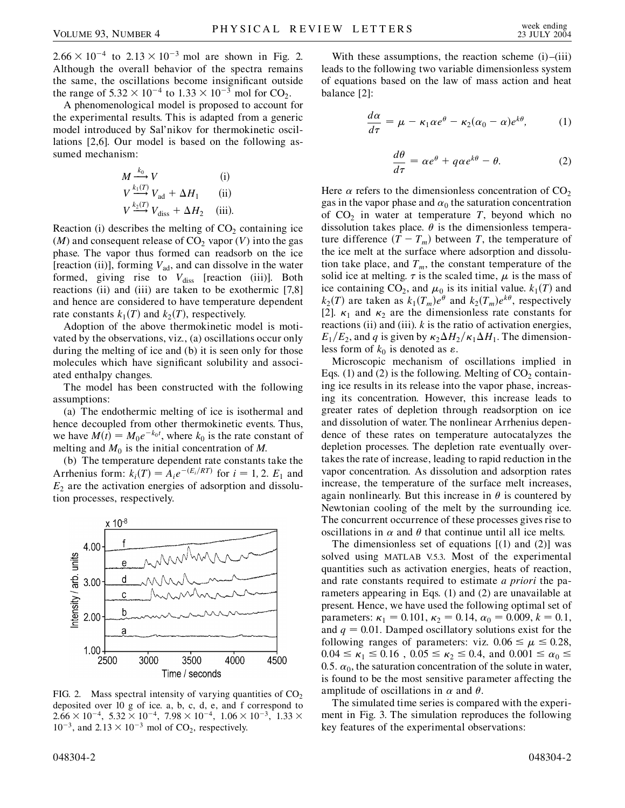$2.66 \times 10^{-4}$  to  $2.13 \times 10^{-3}$  mol are shown in Fig. 2. Although the overall behavior of the spectra remains the same, the oscillations become insignificant outside the range of  $5.32 \times 10^{-4}$  to  $1.33 \times 10^{-3}$  mol for CO<sub>2</sub>.

A phenomenological model is proposed to account for the experimental results. This is adapted from a generic model introduced by Sal'nikov for thermokinetic oscillations [2,6]. Our model is based on the following assumed mechanism:

$$
M \xrightarrow{k_0} V \qquad \text{(i)}
$$
  
\n
$$
V \xrightarrow{k_1(T)} V_{\text{ad}} + \Delta H_1 \qquad \text{(ii)}
$$
  
\n
$$
V \xrightarrow{k_2(T)} V_{\text{diss}} + \Delta H_2 \qquad \text{(iii)}.
$$

Reaction (i) describes the melting of  $CO<sub>2</sub>$  containing ice  $(M)$  and consequent release of  $CO<sub>2</sub>$  vapor  $(V)$  into the gas phase. The vapor thus formed can readsorb on the ice [reaction (ii)], forming  $V_{ad}$ , and can dissolve in the water formed, giving rise to  $V_{\text{diss}}$  [reaction (iii)]. Both reactions (ii) and (iii) are taken to be exothermic [7,8] and hence are considered to have temperature dependent rate constants  $k_1(T)$  and  $k_2(T)$ , respectively.

Adoption of the above thermokinetic model is motivated by the observations, viz., (a) oscillations occur only during the melting of ice and (b) it is seen only for those molecules which have significant solubility and associated enthalpy changes.

The model has been constructed with the following assumptions:

(a) The endothermic melting of ice is isothermal and hence decoupled from other thermokinetic events. Thus, we have  $M(t) = M_0 e^{-k_0 t}$ , where  $k_0$  is the rate constant of melting and  $M_0$  is the initial concentration of  $M$ .

(b) The temperature dependent rate constants take the Arrhenius form:  $k_i(T) = A_i e^{-(E_i/RT)}$  for  $i = 1, 2$ .  $E_1$  and  $E<sub>2</sub>$  are the activation energies of adsorption and dissolution processes, respectively.



FIG. 2. Mass spectral intensity of varying quantities of  $CO<sub>2</sub>$ deposited over 10 g of ice. a, b, c, d, e, and f correspond to  $2.66 \times 10^{-4}$ ,  $5.32 \times 10^{-4}$ ,  $7.98 \times 10^{-4}$ ,  $1.06 \times 10^{-3}$ ,  $1.33 \times$  $10^{-3}$ , and  $2.13 \times 10^{-3}$  mol of CO<sub>2</sub>, respectively.

With these assumptions, the reaction scheme  $(i)$ – $(iii)$ leads to the following two variable dimensionless system of equations based on the law of mass action and heat balance [2]:

$$
\frac{d\alpha}{d\tau} = \mu - \kappa_1 \alpha e^{\theta} - \kappa_2 (\alpha_0 - \alpha) e^{k\theta}, \tag{1}
$$

$$
\frac{d\theta}{d\tau} = \alpha e^{\theta} + q\alpha e^{k\theta} - \theta.
$$
 (2)

Here  $\alpha$  refers to the dimensionless concentration of CO<sub>2</sub> gas in the vapor phase and  $\alpha_0$  the saturation concentration of  $CO<sub>2</sub>$  in water at temperature *T*, beyond which no dissolution takes place.  $\theta$  is the dimensionless temperature difference  $(T - T_m)$  between *T*, the temperature of the ice melt at the surface where adsorption and dissolution take place, and  $T_m$ , the constant temperature of the solid ice at melting.  $\tau$  is the scaled time,  $\mu$  is the mass of ice containing CO<sub>2</sub>, and  $\mu_0$  is its initial value.  $k_1(T)$  and  $k_2(T)$  are taken as  $k_1(T_m)e^{\theta}$  and  $k_2(T_m)e^{k\theta}$ , respectively [2].  $\kappa_1$  and  $\kappa_2$  are the dimensionless rate constants for reactions (ii) and (iii). *k* is the ratio of activation energies,  $E_1/E_2$ , and *q* is given by  $\kappa_2 \Delta H_2/\kappa_1 \Delta H_1$ . The dimensionless form of  $k_0$  is denoted as  $\varepsilon$ .

Microscopic mechanism of oscillations implied in Eqs. (1) and (2) is the following. Melting of  $CO<sub>2</sub>$  containing ice results in its release into the vapor phase, increasing its concentration. However, this increase leads to greater rates of depletion through readsorption on ice and dissolution of water. The nonlinear Arrhenius dependence of these rates on temperature autocatalyzes the depletion processes. The depletion rate eventually overtakes the rate of increase, leading to rapid reduction in the vapor concentration. As dissolution and adsorption rates increase, the temperature of the surface melt increases, again nonlinearly. But this increase in  $\theta$  is countered by Newtonian cooling of the melt by the surrounding ice. The concurrent occurrence of these processes gives rise to oscillations in  $\alpha$  and  $\theta$  that continue until all ice melts.

The dimensionless set of equations  $[(1)$  and  $(2)]$  was solved using MATLAB V.5.3. Most of the experimental quantities such as activation energies, heats of reaction, and rate constants required to estimate *a priori* the parameters appearing in Eqs. (1) and (2) are unavailable at present. Hence, we have used the following optimal set of parameters:  $\kappa_1 = 0.101$ ,  $\kappa_2 = 0.14$ ,  $\alpha_0 = 0.009$ ,  $k = 0.1$ , and  $q = 0.01$ . Damped oscillatory solutions exist for the following ranges of parameters: viz.  $0.06 \le \mu \le 0.28$ ,  $0.04 \le \kappa_1 \le 0.16$ ,  $0.05 \le \kappa_2 \le 0.4$ , and  $0.001 \le \alpha_0 \le$ 0.5.  $\alpha_0$ , the saturation concentration of the solute in water, is found to be the most sensitive parameter affecting the amplitude of oscillations in  $\alpha$  and  $\theta$ .

The simulated time series is compared with the experiment in Fig. 3. The simulation reproduces the following key features of the experimental observations: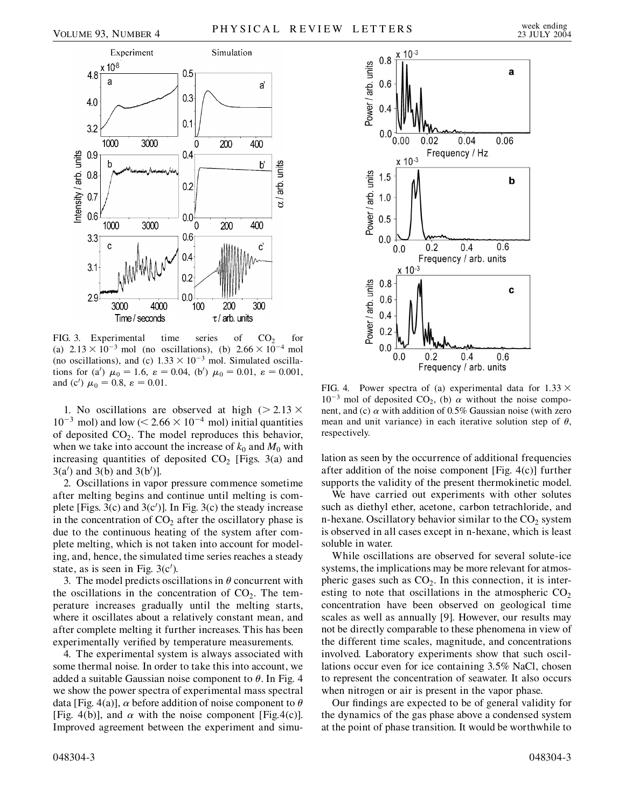

FIG. 3. Experimental time series of  $CO<sub>2</sub>$  for (a)  $2.13 \times 10^{-3}$  mol (no oscillations), (b)  $2.66 \times 10^{-4}$  mol (no oscillations), and (c)  $1.33 \times 10^{-3}$  mol. Simulated oscillations for (a')  $\mu_0 = 1.6$ ,  $\varepsilon = 0.04$ , (b')  $\mu_0 = 0.01$ ,  $\varepsilon = 0.001$ , and (c')  $\mu_0 = 0.8$ ,  $\varepsilon = 0.01$ .

1. No oscillations are observed at high  $(2.13 \times$  $10^{-3}$  mol) and low ( $\leq 2.66 \times 10^{-4}$  mol) initial quantities of deposited  $CO<sub>2</sub>$ . The model reproduces this behavior, when we take into account the increase of  $k_0$  and  $M_0$  with increasing quantities of deposited  $CO<sub>2</sub>$  [Figs. 3(a) and  $3(a')$  and  $3(b)$  and  $3(b')$ ].

2. Oscillations in vapor pressure commence sometime after melting begins and continue until melting is complete [Figs.  $3(c)$  and  $3(c')$ ]. In Fig.  $3(c)$  the steady increase in the concentration of  $CO<sub>2</sub>$  after the oscillatory phase is due to the continuous heating of the system after complete melting, which is not taken into account for modeling, and, hence, the simulated time series reaches a steady state, as is seen in Fig.  $3(c')$ .

3. The model predicts oscillations in  $\theta$  concurrent with the oscillations in the concentration of  $CO<sub>2</sub>$ . The temperature increases gradually until the melting starts, where it oscillates about a relatively constant mean, and after complete melting it further increases. This has been experimentally verified by temperature measurements.

4. The experimental system is always associated with some thermal noise. In order to take this into account, we added a suitable Gaussian noise component to  $\theta$ . In Fig. 4 we show the power spectra of experimental mass spectral data [Fig. 4(a)],  $\alpha$  before addition of noise component to  $\theta$ [Fig. 4(b)], and  $\alpha$  with the noise component [Fig.4(c)]. Improved agreement between the experiment and simu-



FIG. 4. Power spectra of (a) experimental data for  $1.33 \times$  $10^{-3}$  mol of deposited CO<sub>2</sub>, (b)  $\alpha$  without the noise component, and (c)  $\alpha$  with addition of 0.5% Gaussian noise (with zero mean and unit variance) in each iterative solution step of  $\theta$ , respectively.

lation as seen by the occurrence of additional frequencies after addition of the noise component [Fig. 4(c)] further supports the validity of the present thermokinetic model.

We have carried out experiments with other solutes such as diethyl ether, acetone, carbon tetrachloride, and n-hexane. Oscillatory behavior similar to the  $CO<sub>2</sub>$  system is observed in all cases except in n-hexane, which is least soluble in water.

While oscillations are observed for several solute-ice systems, the implications may be more relevant for atmospheric gases such as  $CO<sub>2</sub>$ . In this connection, it is interesting to note that oscillations in the atmospheric  $CO<sub>2</sub>$ concentration have been observed on geological time scales as well as annually [9]. However, our results may not be directly comparable to these phenomena in view of the different time scales, magnitude, and concentrations involved. Laboratory experiments show that such oscillations occur even for ice containing 3.5% NaCl, chosen to represent the concentration of seawater. It also occurs when nitrogen or air is present in the vapor phase.

Our findings are expected to be of general validity for the dynamics of the gas phase above a condensed system at the point of phase transition. It would be worthwhile to